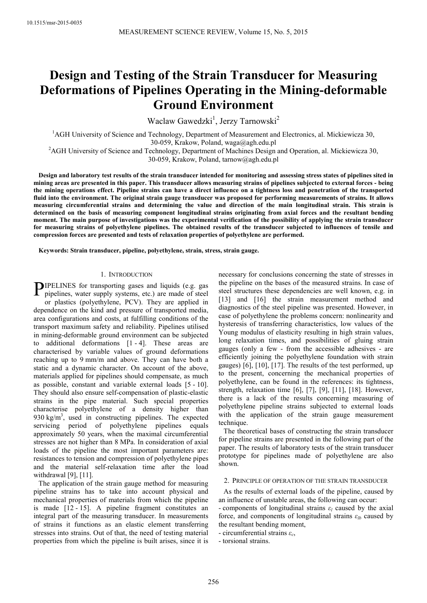# **Design and Testing of the Strain Transducer for Measuring Deformations of Pipelines Operating in the Mining-deformable Ground Environment**

Waclaw Gawedzki<sup>1</sup>, Jerzy Tarnowski<sup>2</sup>

<sup>1</sup>AGH University of Science and Technology, Department of Measurement and Electronics, al. Mickiewicza 30, 30-059, Krakow, Poland, waga@agh.edu.pl

<sup>2</sup>AGH University of Science and Technology, Department of Machines Design and Operation, al. Mickiewicza 30,

30-059, Krakow, Poland, tarnow@agh.edu.pl

**Design and laboratory test results of the strain transducer intended for monitoring and assessing stress states of pipelines sited in mining areas are presented in this paper. This transducer allows measuring strains of pipelines subjected to external forces - being the mining operations effect. Pipeline strains can have a direct influence on a tightness loss and penetration of the transported fluid into the environment. The original strain gauge transducer was proposed for performing measurements of strains. It allows measuring circumferential strains and determining the value and direction of the main longitudinal strain. This strain is determined on the basis of measuring component longitudinal strains originating from axial forces and the resultant bending moment. The main purpose of investigations was the experimental verification of the possibility of applying the strain transducer for measuring strains of polyethylene pipelines. The obtained results of the transducer subjected to influences of tensile and compression forces are presented and tests of relaxation properties of polyethylene are performed.** 

**Keywords: Strain transducer, pipeline, polyethylene, strain, stress, strain gauge.** 

#### 1. INTRODUCTION

IPELINES for transporting gases and liquids (e.g. gas PIPELINES for transporting gases and liquids (e.g. gas pipelines, water supply systems, etc.) are made of steel or plastics (polyethylene, PCV). They are applied in dependence on the kind and pressure of transported media, area configurations and costs, at fulfilling conditions of the transport maximum safety and reliability. Pipelines utilised in mining-deformable ground environment can be subjected to additional deformations [1 - 4]. These areas are characterised by variable values of ground deformations reaching up to 9 mm/m and above. They can have both a static and a dynamic character. On account of the above, materials applied for pipelines should compensate, as much as possible, constant and variable external loads [5 - 10]. They should also ensure self-compensation of plastic-elastic strains in the pipe material. Such special properties characterise polyethylene of a density higher than 930 kg/m<sup>3</sup>, used in constructing pipelines. The expected servicing period of polyethylene pipelines equals approximately 50 years, when the maximal circumferential stresses are not higher than 8 MPa. In consideration of axial loads of the pipeline the most important parameters are: resistances to tension and compression of polyethylene pipes and the material self-relaxation time after the load withdrawal [9], [11].

The application of the strain gauge method for measuring pipeline strains has to take into account physical and mechanical properties of materials from which the pipeline is made [12 - 15]. A pipeline fragment constitutes an integral part of the measuring transducer. In measurements of strains it functions as an elastic element transferring stresses into strains. Out of that, the need of testing material properties from which the pipeline is built arises, since it is necessary for conclusions concerning the state of stresses in the pipeline on the bases of the measured strains. In case of steel structures these dependencies are well known, e.g. in [13] and [16] the strain measurement method and diagnostics of the steel pipeline was presented. However, in case of polyethylene the problems concern: nonlinearity and hysteresis of transferring characteristics, low values of the Young modulus of elasticity resulting in high strain values, long relaxation times, and possibilities of gluing strain gauges (only a few - from the accessible adhesives - are efficiently joining the polyethylene foundation with strain gauges) [6], [10], [17]. The results of the test performed, up to the present, concerning the mechanical properties of polyethylene, can be found in the references: its tightness, strength, relaxation time [6], [7], [9], [11], [18]. However, there is a lack of the results concerning measuring of polyethylene pipeline strains subjected to external loads with the application of the strain gauge measurement technique.

The theoretical bases of constructing the strain transducer for pipeline strains are presented in the following part of the paper. The results of laboratory tests of the strain transducer prototype for pipelines made of polyethylene are also shown.

#### 2. PRINCIPLE OF OPERATION OF THE STRAIN TRANSDUCER

As the results of external loads of the pipeline, caused by an influence of unstable areas, the following can occur:

- components of longitudinal strains  $\varepsilon_l$  caused by the axial force, and components of longitudinal strains  $\varepsilon_{lb}$  caused by the resultant bending moment,

- circumferential strains *ε<sup>c</sup>* ,
- torsional strains.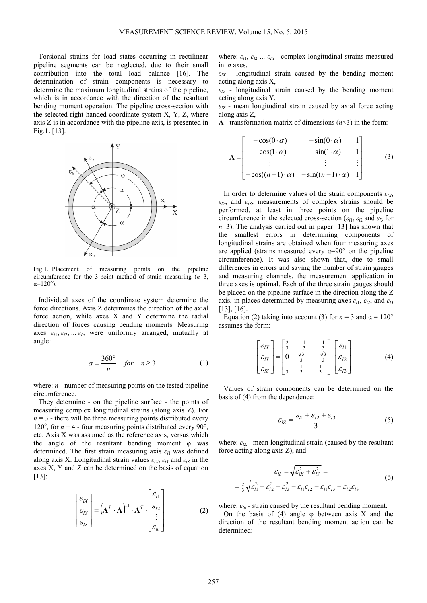Torsional strains for load states occurring in rectilinear pipeline segments can be neglected, due to their small contribution into the total load balance [16]. The determination of strain components is necessary to determine the maximum longitudinal strains of the pipeline, which is in accordance with the direction of the resultant bending moment operation. The pipeline cross-section with the selected right-handed coordinate system X, Y, Z, where axis Z is in accordance with the pipeline axis, is presented in Fig.1. [13].



Fig.1. Placement of measuring points on the pipeline circumference for the 3-point method of strain measuring (*n*=3, α=120°).

Individual axes of the coordinate system determine the force directions. Axis Z determines the direction of the axial force action, while axes X and Y determine the radial direction of forces causing bending moments. Measuring axes  $\varepsilon_{l1}$ ,  $\varepsilon_{l2}$ , ...  $\varepsilon_{ln}$  were uniformly arranged, mutually at angle:

$$
\alpha = \frac{360^{\circ}}{n} \quad \text{for} \quad n \ge 3 \tag{1}
$$

where:  $n -$  number of measuring points on the tested pipeline circumference.

They determine - on the pipeline surface - the points of measuring complex longitudinal strains (along axis Z). For  $n = 3$  - there will be three measuring points distributed every 120°, for  $n = 4$  - four measuring points distributed every 90°, etc. Axis X was assumed as the reference axis, versus which the angle of the resultant bending moment φ was determined. The first strain measuring axis  $\varepsilon_{l1}$  was defined along axis X. Longitudinal strain values  $\varepsilon_{IX}$ ,  $\varepsilon_{IY}$  and  $\varepsilon_{IZ}$  in the axes X, Y and Z can be determined on the basis of equation [13]:

$$
\begin{bmatrix} \varepsilon_{IX} \\ \varepsilon_{IY} \\ \varepsilon_{IZ} \end{bmatrix} = (\mathbf{A}^T \cdot \mathbf{A})^{-1} \cdot \mathbf{A}^T \cdot \begin{bmatrix} \varepsilon_{I1} \\ \varepsilon_{I2} \\ \vdots \\ \varepsilon_{In} \end{bmatrix}
$$
 (2)

where:  $\varepsilon_{l1}$ ,  $\varepsilon_{l2}$  ...  $\varepsilon_{ln}$  - complex longitudinal strains measured in *n* axes,

 $\varepsilon$ <sub>*lX*</sub> - longitudinal strain caused by the bending moment acting along axis X,

*εlY* - longitudinal strain caused by the bending moment acting along axis Y,

 $\varepsilon_{1Z}$  - mean longitudinal strain caused by axial force acting along axis Z,

**A** - transformation matrix of dimensions  $(n \times 3)$  in the form:

$$
\mathbf{A} = \begin{bmatrix} -\cos(0 \cdot \alpha) & -\sin(0 \cdot \alpha) & 1 \\ -\cos(1 \cdot \alpha) & -\sin(1 \cdot \alpha) & 1 \\ \vdots & \vdots & \vdots \\ -\cos((n-1) \cdot \alpha) & -\sin((n-1) \cdot \alpha) & 1 \end{bmatrix}
$$
(3)

In order to determine values of the strain components  $\varepsilon_{lX}$ ,  $\varepsilon$ <sub>*lY*</sub>, and  $\varepsilon$ <sub>*lZ*</sub>, measurements of complex strains should be performed, at least in three points on the pipeline circumference in the selected cross-section ( $\varepsilon_{l1}$ ,  $\varepsilon_{l2}$  and  $\varepsilon_{l3}$  for *n*=3). The analysis carried out in paper [13] has shown that the smallest errors in determining components of longitudinal strains are obtained when four measuring axes are applied (strains measured every  $\alpha = 90^{\circ}$  on the pipeline circumference). It was also shown that, due to small differences in errors and saving the number of strain gauges and measuring channels, the measurement application in three axes is optimal. Each of the three strain gauges should be placed on the pipeline surface in the direction along the Z axis, in places determined by measuring axes  $\varepsilon_{l1}$ ,  $\varepsilon_{l2}$ , and  $\varepsilon_{l3}$ [13], [16].

Equation (2) taking into account (3) for  $n = 3$  and  $\alpha = 120^{\circ}$ assumes the form:

$$
\begin{bmatrix} \varepsilon_{IX} \\ \varepsilon_{IY} \\ \varepsilon_{IZ} \end{bmatrix} = \begin{bmatrix} \frac{2}{3} & -\frac{1}{3} & -\frac{1}{3} \\ 0 & \frac{\sqrt{3}}{3} & -\frac{\sqrt{3}}{3} \\ \frac{1}{3} & \frac{1}{3} & \frac{1}{3} \end{bmatrix} \cdot \begin{bmatrix} \varepsilon_{I1} \\ \varepsilon_{I2} \\ \varepsilon_{I3} \end{bmatrix}
$$
 (4)

Values of strain components can be determined on the basis of (4) from the dependence:

$$
\varepsilon_{lZ} = \frac{\varepsilon_{l1} + \varepsilon_{l2} + \varepsilon_{l3}}{3} \tag{5}
$$

where:  $\varepsilon_{\text{IZ}}$  - mean longitudinal strain (caused by the resultant force acting along axis Z), and:

$$
\varepsilon_{lb} = \sqrt{\varepsilon_{lx}^2 + \varepsilon_{lY}^2} =
$$
  
=  $\frac{2}{3} \sqrt{\varepsilon_{l1}^2 + \varepsilon_{l2}^2 + \varepsilon_{l3}^2 - \varepsilon_{l1} \varepsilon_{l2} - \varepsilon_{l1} \varepsilon_{l3} - \varepsilon_{l2} \varepsilon_{l3}}$  (6)

where:  $\varepsilon_{lb}$  - strain caused by the resultant bending moment.

On the basis of  $(4)$  angle  $\varphi$  between axis X and the direction of the resultant bending moment action can be determined: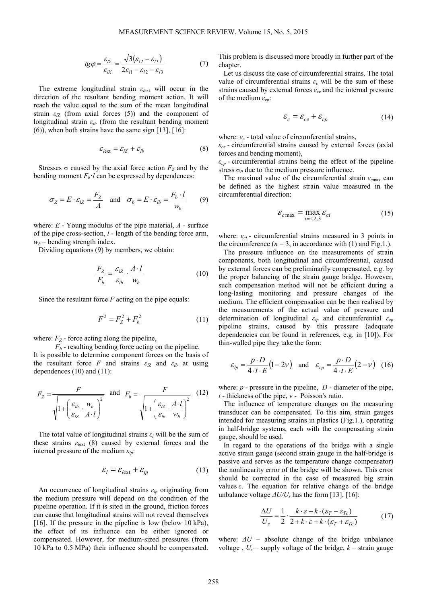$$
tg\varphi = \frac{\varepsilon_{1Y}}{\varepsilon_{1X}} = \frac{\sqrt{3}(\varepsilon_{12} - \varepsilon_{13})}{2\varepsilon_{11} - \varepsilon_{12} - \varepsilon_{13}}\tag{7}
$$

The extreme longitudinal strain *εl*ext will occur in the direction of the resultant bending moment action. It will reach the value equal to the sum of the mean longitudinal strain  $\varepsilon_{IZ}$  (from axial forces (5)) and the component of longitudinal strain  $\varepsilon_{lb}$  (from the resultant bending moment  $(6)$ ), when both strains have the same sign [13], [16]:

$$
\varepsilon_{\text{lext}} = \varepsilon_{\text{IZ}} + \varepsilon_{\text{lb}} \tag{8}
$$

Stresses  $\sigma$  caused by the axial force action  $F_Z$  and by the bending moment  $F_b \cdot l$  can be expressed by dependences:

$$
\sigma_Z = E \cdot \varepsilon_{IZ} = \frac{F_Z}{A}
$$
 and  $\sigma_b = E \cdot \varepsilon_{lb} = \frac{F_b \cdot l}{w_b}$  (9)

where: *E* - Young modulus of the pipe material, *A* - surface of the pipe cross-section, *l* - length of the bending force arm,  $w_b$  – bending strength index.

Dividing equations (9) by members, we obtain:

$$
\frac{F_Z}{F_b} = \frac{\varepsilon_{IZ}}{\varepsilon_{lb}} \cdot \frac{A \cdot l}{w_b} \tag{10}
$$

Since the resultant force *F* acting on the pipe equals:

$$
F^2 = F_Z^2 + F_b^2 \tag{11}
$$

where:  $F_Z$  - force acting along the pipeline,

 $F_b$  - resulting bending force acting on the pipeline. It is possible to determine component forces on the basis of the resultant force *F* and strains  $\varepsilon_{IZ}$  and  $\varepsilon_{Ib}$  at using dependences (10) and (11):

$$
F_Z = \frac{F}{\sqrt{1 + \left(\frac{\varepsilon_{lb}}{\varepsilon_{lZ}} \cdot \frac{w_b}{A \cdot l}\right)^2}} \quad \text{and} \quad F_b = \frac{F}{\sqrt{1 + \left(\frac{\varepsilon_{lZ}}{\varepsilon_{lb}} \cdot \frac{A \cdot l}{w_b}\right)^2}} \quad (12)
$$

The total value of longitudinal strains  $\varepsilon_l$  will be the sum of these strains  $\varepsilon_{\text{lext}}$  (8) caused by external forces and the internal pressure of the medium *εlp*:

$$
\varepsilon_l = \varepsilon_{\text{lext}} + \varepsilon_{lp} \tag{13}
$$

An occurrence of longitudinal strains *εlp* originating from the medium pressure will depend on the condition of the pipeline operation. If it is sited in the ground, friction forces can cause that longitudinal strains will not reveal themselves [16]. If the pressure in the pipeline is low (below 10 kPa), the effect of its influence can be either ignored or compensated. However, for medium-sized pressures (from 10 kPa to 0.5 MPa) their influence should be compensated. This problem is discussed more broadly in further part of the chapter.

Let us discuss the case of circumferential strains. The total value of circumferential strains  $\varepsilon_c$  will be the sum of these strains caused by external forces *εce* and the internal pressure of the medium  $\varepsilon_{cn}$ :

$$
\varepsilon_c = \varepsilon_{ce} + \varepsilon_{cp} \tag{14}
$$

where:  $\varepsilon_c$  - total value of circumferential strains,

*εce* - circumferential strains caused by external forces (axial forces and bending moment),

 $\varepsilon_{cp}$  - circumferential strains being the effect of the pipeline stress  $\sigma_P$  due to the medium pressure influence.

The maximal value of the circumferential strain *εc*max can be defined as the highest strain value measured in the circumferential direction:

$$
\varepsilon_{c\max} = \max_{i=1,2,3} \varepsilon_{ci} \tag{15}
$$

where:  $\varepsilon_{ci}$  - circumferential strains measured in 3 points in the circumference  $(n = 3)$ , in accordance with (1) and Fig.1...

The pressure influence on the measurements of strain components, both longitudinal and circumferential, caused by external forces can be preliminarily compensated, e.g. by the proper balancing of the strain gauge bridge. However, such compensation method will not be efficient during a long-lasting monitoring and pressure changes of the medium. The efficient compensation can be then realised by the measurements of the actual value of pressure and determination of longitudinal *εlp* and circumferential *εcp* pipeline strains, caused by this pressure (adequate dependencies can be found in references, e.g. in [10]). For thin-walled pipe they take the form:

$$
\varepsilon_{lp} = \frac{p \cdot D}{4 \cdot t \cdot E} \left( 1 - 2\nu \right) \quad \text{and} \quad \varepsilon_{cp} = \frac{p \cdot D}{4 \cdot t \cdot E} \left( 2 - \nu \right) \tag{16}
$$

where: *p* - pressure in the pipeline, *D* - diameter of the pipe, *t* - thickness of the pipe, ν - Poisson's ratio.

The influence of temperature changes on the measuring transducer can be compensated. To this aim, strain gauges intended for measuring strains in plastics (Fig.1.), operating in half-bridge systems, each with the compensating strain gauge, should be used.

In regard to the operations of the bridge with a single active strain gauge (second strain gauge in the half-bridge is passive and serves as the temperature change compensator) the nonlinearity error of the bridge will be shown. This error should be corrected in the case of measured big strain values *ε*. The equation for relative change of the bridge unbalance voltage  $\Delta U/U_s$  has the form [13], [16]:

$$
\frac{\Delta U}{U_s} = \frac{1}{2} \cdot \frac{k \cdot \varepsilon + k \cdot (\varepsilon_T - \varepsilon_{T_c})}{2 + k \cdot \varepsilon + k \cdot (\varepsilon_T + \varepsilon_{T_c})}
$$
(17)

where: *ΔU* – absolute change of the bridge unbalance voltage,  $U_s$  – supply voltage of the bridge,  $k$  – strain gauge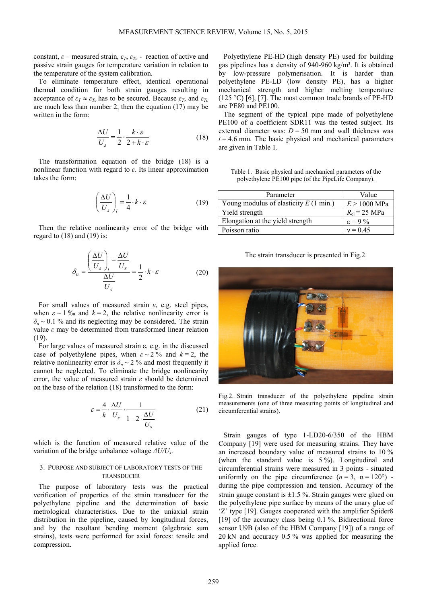constant,  $\varepsilon$  – measured strain,  $\varepsilon_T$ ,  $\varepsilon_{Tc}$  – reaction of active and passive strain gauges for temperature variation in relation to the temperature of the system calibration.

To eliminate temperature effect, identical operational thermal condition for both strain gauges resulting in acceptance of  $\varepsilon_T \approx \varepsilon_{T_c}$  has to be secured. Because  $\varepsilon_T$ , and  $\varepsilon_{T_c}$ are much less than number 2, then the equation (17) may be written in the form:

$$
\frac{\Delta U}{U_s} = \frac{1}{2} \cdot \frac{k \cdot \varepsilon}{2 + k \cdot \varepsilon}
$$
 (18)

The transformation equation of the bridge (18) is a nonlinear function with regard to *ε*. Its linear approximation takes the form:

$$
\left(\frac{\Delta U}{U_s}\right)_l = \frac{1}{4} \cdot k \cdot \varepsilon \tag{19}
$$

Then the relative nonlinearity error of the bridge with regard to  $(18)$  and  $(19)$  is:

$$
\delta_n = \frac{\left(\frac{\Delta U}{U_s}\right)_l - \frac{\Delta U}{U_s}}{\frac{\Delta U}{U_s}} = \frac{1}{2} \cdot k \cdot \varepsilon \tag{20}
$$

For small values of measured strain *ε*, e.g. steel pipes, when  $\varepsilon \sim 1\%$  and  $k = 2$ , the relative nonlinearity error is  $\delta_n \sim 0.1$  % and its neglecting may be considered. The strain value *ε* may be determined from transformed linear relation (19).

For large values of measured strain ε, e.g. in the discussed case of polyethylene pipes, when  $\varepsilon \sim 2$ % and  $k = 2$ , the relative nonlinearity error is  $\delta_n \sim 2$  % and most frequently it cannot be neglected. To eliminate the bridge nonlinearity error, the value of measured strain *ε* should be determined on the base of the relation (18) transformed to the form:

$$
\varepsilon = \frac{4}{k} \cdot \frac{\Delta U}{U_s} \cdot \frac{1}{1 - 2 \cdot \frac{\Delta U}{U_s}}
$$
(21)

which is the function of measured relative value of the variation of the bridge unbalance voltage *ΔU/U<sup>s</sup>* .

## 3. PURPOSE AND SUBJECT OF LABORATORY TESTS OF THE TRANSDUCER

The purpose of laboratory tests was the practical verification of properties of the strain transducer for the polyethylene pipeline and the determination of basic metrological characteristics. Due to the uniaxial strain distribution in the pipeline, caused by longitudinal forces, and by the resultant bending moment (algebraic sum strains), tests were performed for axial forces: tensile and compression.

Polyethylene PE-HD (high density PE) used for building gas pipelines has a density of  $940-960 \text{ kg/m}^3$ . It is obtained by low-pressure polymerisation. It is harder than polyethylene PE-LD (low density PE), has a higher mechanical strength and higher melting temperature (125 °C) [6], [7]. The most common trade brands of PE-HD are PE80 and PE100.

The segment of the typical pipe made of polyethylene PE100 of a coefficient SDR11 was the tested subject. Its external diameter was:  $D = 50$  mm and wall thickness was  $t = 4.6$  mm. The basic physical and mechanical parameters are given in Table 1.

Table 1. Basic physical and mechanical parameters of the polyethylene PE100 pipe (of the PipeLife Company).

| Parameter                                       | Value                 |
|-------------------------------------------------|-----------------------|
| Young modulus of elasticity $E(1 \text{ min.})$ | $E \ge 1000$ MPa      |
| Yield strength                                  | $R_{\rm el}$ = 25 MPa |
| Elongation at the yield strength                | $\varepsilon = 9\%$   |
| Poisson ratio                                   | $v = 0.45$            |

The strain transducer is presented in Fig.2.



Fig.2. Strain transducer of the polyethylene pipeline strain measurements (one of three measuring points of longitudinal and circumferential strains).

Strain gauges of type 1-LD20-6/350 of the HBM Company [19] were used for measuring strains. They have an increased boundary value of measured strains to 10 % (when the standard value is 5 %). Longitudinal and circumferential strains were measured in 3 points - situated uniformly on the pipe circumference  $(n = 3, \alpha = 120^{\circ})$ during the pipe compression and tension. Accuracy of the strain gauge constant is  $\pm 1.5$  %. Strain gauges were glued on the polyethylene pipe surface by means of the unary glue of 'Z' type [19]. Gauges cooperated with the amplifier Spider8 [19] of the accuracy class being 0.1 %. Bidirectional force sensor U9B (also of the HBM Company [19]) of a range of 20 kN and accuracy 0.5 % was applied for measuring the applied force.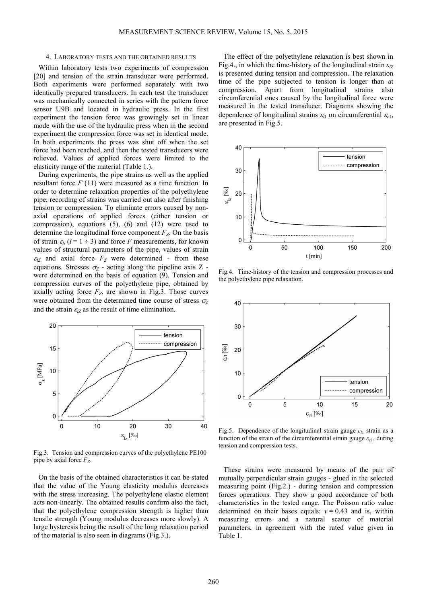#### 4. LABORATORY TESTS AND THE OBTAINED RESULTS

Within laboratory tests two experiments of compression [20] and tension of the strain transducer were performed. Both experiments were performed separately with two identically prepared transducers. In each test the transducer was mechanically connected in series with the pattern force sensor U9B and located in hydraulic press. In the first experiment the tension force was growingly set in linear mode with the use of the hydraulic press when in the second experiment the compression force was set in identical mode. In both experiments the press was shut off when the set force had been reached, and then the tested transducers were relieved. Values of applied forces were limited to the elasticity range of the material (Table 1.).

During experiments, the pipe strains as well as the applied resultant force *F* (11) were measured as a time function. In order to determine relaxation properties of the polyethylene pipe, recording of strains was carried out also after finishing tension or compression. To eliminate errors caused by nonaxial operations of applied forces (either tension or compression), equations (5), (6) and (12) were used to determine the longitudinal force component  $F_Z$ . On the basis of strain  $\varepsilon_{li}$  ( $i = 1 \div 3$ ) and force *F* measurements, for known values of structural parameters of the pipe, values of strain  $\varepsilon_{1Z}$  and axial force  $F_Z$  were determined - from these equations. Stresses  $\sigma_Z$  - acting along the pipeline axis Z were determined on the basis of equation (9). Tension and compression curves of the polyethylene pipe, obtained by axially acting force  $F_Z$ , are shown in Fig.3. Those curves were obtained from the determined time course of stress  $\sigma$ <sub>Z</sub> and the strain  $\varepsilon_{1Z}$  as the result of time elimination.



Fig.3. Tension and compression curves of the polyethylene PE100 pipe by axial force *FZ.*

On the basis of the obtained characteristics it can be stated that the value of the Young elasticity modulus decreases with the stress increasing. The polyethylene elastic element acts non-linearly. The obtained results confirm also the fact, that the polyethylene compression strength is higher than tensile strength (Young modulus decreases more slowly). A large hysteresis being the result of the long relaxation period of the material is also seen in diagrams (Fig.3.).

The effect of the polyethylene relaxation is best shown in Fig.4., in which the time-history of the longitudinal strain  $\varepsilon_{1Z}$ is presented during tension and compression. The relaxation time of the pipe subjected to tension is longer than at compression. Apart from longitudinal strains also circumferential ones caused by the longitudinal force were measured in the tested transducer. Diagrams showing the dependence of longitudinal strains  $\varepsilon_{l1}$  on circumferential  $\varepsilon_{c1}$ , are presented in Fig.5.



Fig.4. Time-history of the tension and compression processes and the polyethylene pipe relaxation.



Fig.5. Dependence of the longitudinal strain gauge  $\varepsilon_{l1}$  strain as a function of the strain of the circumferential strain gauge  $\varepsilon_{c1}$ , during tension and compression tests.

These strains were measured by means of the pair of mutually perpendicular strain gauges - glued in the selected measuring point (Fig.2.) - during tension and compression forces operations. They show a good accordance of both characteristics in the tested range. The Poisson ratio value determined on their bases equals:  $v = 0.43$  and is, within measuring errors and a natural scatter of material parameters, in agreement with the rated value given in Table 1.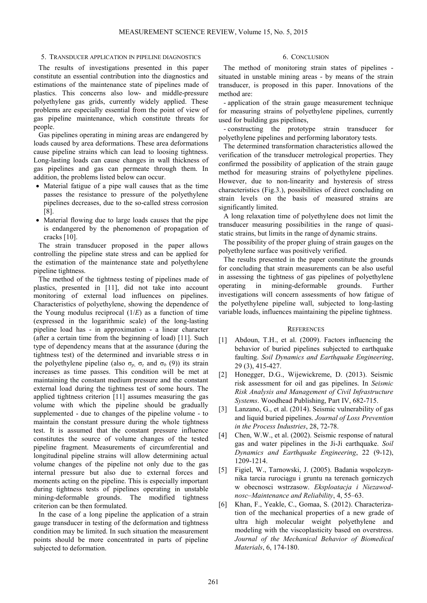### 5. TRANSDUCER APPLICATION IN PIPELINE DIAGNOSTICS

The results of investigations presented in this paper constitute an essential contribution into the diagnostics and estimations of the maintenance state of pipelines made of plastics. This concerns also low- and middle-pressure polyethylene gas grids, currently widely applied. These problems are especially essential from the point of view of gas pipeline maintenance, which constitute threats for people.

Gas pipelines operating in mining areas are endangered by loads caused by area deformations. These area deformations cause pipeline strains which can lead to loosing tightness. Long-lasting loads can cause changes in wall thickness of gas pipelines and gas can permeate through them. In addition, the problems listed below can occur.

- Material fatigue of a pipe wall causes that as the time passes the resistance to pressure of the polyethylene pipelines decreases, due to the so-called stress corrosion [8].
- Material flowing due to large loads causes that the pipe is endangered by the phenomenon of propagation of cracks [10].

The strain transducer proposed in the paper allows controlling the pipeline state stress and can be applied for the estimation of the maintenance state and polyethylene pipeline tightness.

The method of the tightness testing of pipelines made of plastics, presented in [11], did not take into account monitoring of external load influences on pipelines. Characteristics of polyethylene, showing the dependence of the Young modulus reciprocal  $(1/E)$  as a function of time (expressed in the logarithmic scale) of the long-lasting pipeline load has - in approximation - a linear character (after a certain time from the beginning of load) [11]. Such type of dependency means that at the assurance (during the tightness test) of the determined and invariable stress  $\sigma$  in the polyethylene pipeline (also  $\sigma_p$ ,  $\sigma_z$  and  $\sigma_b$  (9)) its strain increases as time passes. This condition will be met at maintaining the constant medium pressure and the constant external load during the tightness test of some hours. The applied tightness criterion [11] assumes measuring the gas volume with which the pipeline should be gradually supplemented - due to changes of the pipeline volume - to maintain the constant pressure during the whole tightness test. It is assumed that the constant pressure influence constitutes the source of volume changes of the tested pipeline fragment. Measurements of circumferential and longitudinal pipeline strains will allow determining actual volume changes of the pipeline not only due to the gas internal pressure but also due to external forces and moments acting on the pipeline. This is especially important during tightness tests of pipelines operating in unstable mining-deformable grounds. The modified tightness criterion can be then formulated.

In the case of a long pipeline the application of a strain gauge transducer in testing of the deformation and tightness condition may be limited. In such situation the measurement points should be more concentrated in parts of pipeline subjected to deformation.

## 6. CONCLUSION

The method of monitoring strain states of pipelines situated in unstable mining areas - by means of the strain transducer, is proposed in this paper. Innovations of the method are:

- application of the strain gauge measurement technique for measuring strains of polyethylene pipelines, currently used for building gas pipelines,

- constructing the prototype strain transducer for polyethylene pipelines and performing laboratory tests.

The determined transformation characteristics allowed the verification of the transducer metrological properties. They confirmed the possibility of application of the strain gauge method for measuring strains of polyethylene pipelines. However, due to non-linearity and hysteresis of stress characteristics (Fig.3.), possibilities of direct concluding on strain levels on the basis of measured strains are significantly limited.

A long relaxation time of polyethylene does not limit the transducer measuring possibilities in the range of quasistatic strains, but limits in the range of dynamic strains.

The possibility of the proper gluing of strain gauges on the polyethylene surface was positively verified.

The results presented in the paper constitute the grounds for concluding that strain measurements can be also useful in assessing the tightness of gas pipelines of polyethylene operating in mining-deformable grounds. Further investigations will concern assessments of how fatigue of the polyethylene pipeline wall, subjected to long-lasting variable loads, influences maintaining the pipeline tightness.

#### **REFERENCES**

- [1] Abdoun, T.H., et al. (2009). Factors influencing the behavior of buried pipelines subjected to earthquake faulting. *Soil Dynamics and Earthquake Engineering*, 29 (3), 415-427.
- [2] Honegger, D.G., Wijewickreme, D. (2013). Seismic risk assessment for oil and gas pipelines. In *Seismic Risk Analysis and Management of Civil Infrastructure Systems*. Woodhead Publishing, Part IV, 682-715.
- [3] Lanzano, G., et al. (2014). Seismic vulnerability of gas and liquid buried pipelines. *Journal of Loss Prevention in the Process Industries*, 28, 72-78.
- [4] Chen, W.W., et al. (2002). Seismic response of natural gas and water pipelines in the Ji-Ji earthquake. *Soil Dynamics and Earthquake Engineering*, 22 (9-12), 1209-1214.
- [5] Figiel, W., Tarnowski, J. (2005). Badania wspolczynnika tarcia rurociągu i gruntu na terenach gorniczych w obecnosci wstrzasow. *Eksploatacja i Niezawodnosc–Maintenance and Reliability*, 4, 55–63.
- [6] Khan, F., Yeakle, C., Gomaa, S. (2012). Characterization of the mechanical properties of a new grade of ultra high molecular weight polyethylene and modeling with the viscoplasticity based on overstress. *Journal of the Mechanical Behavior of Biomedical Materials*, 6, 174-180.